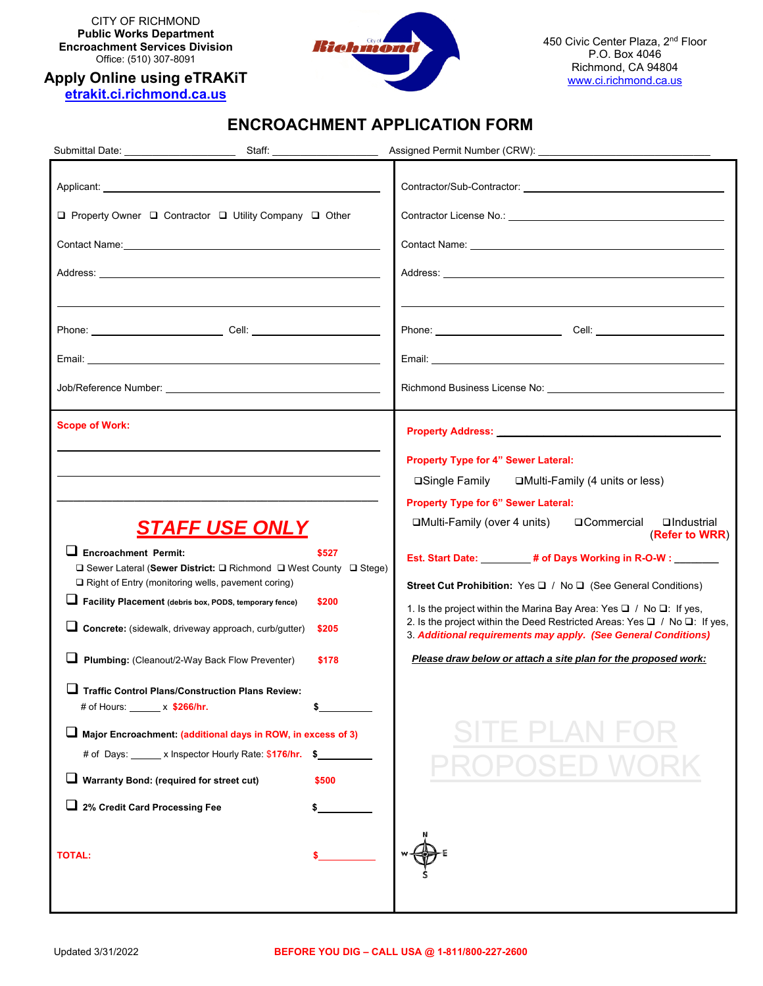CITY OF RICHMOND **Public Works Department Encroachment Services Division**  Office: (510) 307-8091

**Apply Online using eTRAKiT** 



450 Civic Center Plaza, 2nd Floor P.O. Box 4046 Richmond, CA 94804 www.ci.richmond.ca.us

## **ENCROACHMENT APPLICATION FORM**

| □ Property Owner □ Contractor □ Utility Company □ Other                                                                                                                                                                                                                                                                                                                                                                                                                                                                                                                                                                                                                                                                      |                                           | Contact Name: Name: Name and South Assembly Contact Name: Name and South Assembly Contact Name and South Assembly                                                                                                                                                                                                                                                                                                                                                                                                                                                                                                                                                                                                    |
|------------------------------------------------------------------------------------------------------------------------------------------------------------------------------------------------------------------------------------------------------------------------------------------------------------------------------------------------------------------------------------------------------------------------------------------------------------------------------------------------------------------------------------------------------------------------------------------------------------------------------------------------------------------------------------------------------------------------------|-------------------------------------------|----------------------------------------------------------------------------------------------------------------------------------------------------------------------------------------------------------------------------------------------------------------------------------------------------------------------------------------------------------------------------------------------------------------------------------------------------------------------------------------------------------------------------------------------------------------------------------------------------------------------------------------------------------------------------------------------------------------------|
|                                                                                                                                                                                                                                                                                                                                                                                                                                                                                                                                                                                                                                                                                                                              |                                           |                                                                                                                                                                                                                                                                                                                                                                                                                                                                                                                                                                                                                                                                                                                      |
|                                                                                                                                                                                                                                                                                                                                                                                                                                                                                                                                                                                                                                                                                                                              |                                           |                                                                                                                                                                                                                                                                                                                                                                                                                                                                                                                                                                                                                                                                                                                      |
|                                                                                                                                                                                                                                                                                                                                                                                                                                                                                                                                                                                                                                                                                                                              |                                           |                                                                                                                                                                                                                                                                                                                                                                                                                                                                                                                                                                                                                                                                                                                      |
| <b>Scope of Work:</b><br><b>STAFF USE ONLY</b><br>ப<br><b>Encroachment Permit:</b><br>$\Box$ Sewer Lateral (Sewer District: $\Box$ Richmond $\Box$ West County $\Box$ Stege)<br>$\Box$ Right of Entry (monitoring wells, pavement coring)<br>Facility Placement (debris box, PODS, temporary fence)<br>Concrete: (sidewalk, driveway approach, curb/gutter)<br>Plumbing: (Cleanout/2-Way Back Flow Preventer)<br><b>Traffic Control Plans/Construction Plans Review:</b><br># of Hours: x \$266/hr.<br>Major Encroachment: (additional days in ROW, in excess of 3)<br># of Days: ______ x Inspector Hourly Rate: \$176/hr. \$<br>Warranty Bond: (required for street cut)<br>2% Credit Card Processing Fee<br><b>TOTAL:</b> | \$527<br>\$200<br>\$205<br>\$178<br>\$500 | <b>Property Address:</b> Property Address:<br>Property Type for 4" Sewer Lateral:<br>□Multi-Family (4 units or less)<br><b>□Single Family</b><br>Property Type for 6" Sewer Lateral:<br><b>□Multi-Family (over 4 units)</b><br>□ Commercial<br>□Industrial<br>(Refer to WRR)<br>Est. Start Date: # of Days Working in R-O-W : _______<br>Street Cut Prohibition: Yes □ / No □ (See General Conditions)<br>1. Is the project within the Marina Bay Area: Yes $\Box$ / No $\Box$ : If yes,<br>2. Is the project within the Deed Restricted Areas: Yes $\Box$ / No $\Box$ : If yes,<br>3. Additional requirements may apply. (See General Conditions)<br>Please draw below or attach a site plan for the proposed work: |
|                                                                                                                                                                                                                                                                                                                                                                                                                                                                                                                                                                                                                                                                                                                              |                                           |                                                                                                                                                                                                                                                                                                                                                                                                                                                                                                                                                                                                                                                                                                                      |
|                                                                                                                                                                                                                                                                                                                                                                                                                                                                                                                                                                                                                                                                                                                              |                                           |                                                                                                                                                                                                                                                                                                                                                                                                                                                                                                                                                                                                                                                                                                                      |